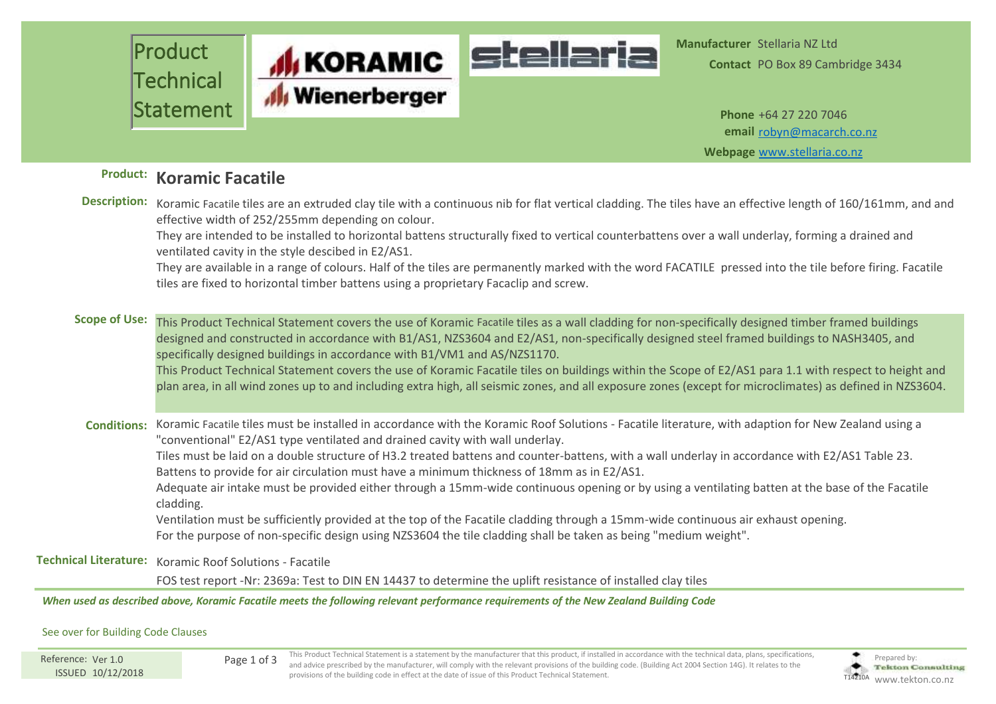

**Contact** PO Box 89 Cambridge 3434

**Webpage** [www.stellaria.co.nz](http://www.stellaria.co.nz) **email** [robyn@macarch.co.nz](mailto:robyn@macarch.co.nz)

## **Product: Koramic Facatile**

|                      | Description: Koramic Facatile tiles are an extruded clay tile with a continuous nib for flat vertical cladding. The tiles have an effective length of 160/161mm, and and<br>effective width of 252/255mm depending on colour.<br>They are intended to be installed to horizontal battens structurally fixed to vertical counterbattens over a wall underlay, forming a drained and<br>ventilated cavity in the style descibed in E2/AS1.<br>They are available in a range of colours. Half of the tiles are permanently marked with the word FACATILE pressed into the tile before firing. Facatile<br>tiles are fixed to horizontal timber battens using a proprietary Facaclip and screw.                                                                                                                                                                                                                             |
|----------------------|-------------------------------------------------------------------------------------------------------------------------------------------------------------------------------------------------------------------------------------------------------------------------------------------------------------------------------------------------------------------------------------------------------------------------------------------------------------------------------------------------------------------------------------------------------------------------------------------------------------------------------------------------------------------------------------------------------------------------------------------------------------------------------------------------------------------------------------------------------------------------------------------------------------------------|
| <b>Scope of Use:</b> | This Product Technical Statement covers the use of Koramic Facatile tiles as a wall cladding for non-specifically designed timber framed buildings<br>designed and constructed in accordance with B1/AS1, NZS3604 and E2/AS1, non-specifically designed steel framed buildings to NASH3405, and<br>specifically designed buildings in accordance with B1/VM1 and AS/NZS1170.<br>This Product Technical Statement covers the use of Koramic Facatile tiles on buildings within the Scope of E2/AS1 para 1.1 with respect to height and<br>plan area, in all wind zones up to and including extra high, all seismic zones, and all exposure zones (except for microclimates) as defined in NZS3604.                                                                                                                                                                                                                       |
|                      | Conditions: Koramic Facatile tiles must be installed in accordance with the Koramic Roof Solutions - Facatile literature, with adaption for New Zealand using a<br>"conventional" E2/AS1 type ventilated and drained cavity with wall underlay.<br>Tiles must be laid on a double structure of H3.2 treated battens and counter-battens, with a wall underlay in accordance with E2/AS1 Table 23.<br>Battens to provide for air circulation must have a minimum thickness of 18mm as in E2/AS1.<br>Adequate air intake must be provided either through a 15mm-wide continuous opening or by using a ventilating batten at the base of the Facatile<br>cladding.<br>Ventilation must be sufficiently provided at the top of the Facatile cladding through a 15mm-wide continuous air exhaust opening.<br>For the purpose of non-specific design using NZS3604 the tile cladding shall be taken as being "medium weight". |
|                      | Technical Literature: Koramic Roof Solutions - Facatile                                                                                                                                                                                                                                                                                                                                                                                                                                                                                                                                                                                                                                                                                                                                                                                                                                                                 |
|                      | FOS test report -Nr: 2369a: Test to DIN EN 14437 to determine the uplift resistance of installed clay tiles                                                                                                                                                                                                                                                                                                                                                                                                                                                                                                                                                                                                                                                                                                                                                                                                             |
|                      | When used as described above, Koramic Facatile meets the following relevant performance requirements of the New Zealand Building Code                                                                                                                                                                                                                                                                                                                                                                                                                                                                                                                                                                                                                                                                                                                                                                                   |

## See over for Building Code Clauses

ISSUED 10/12/2018 Reference: Ver 1.0

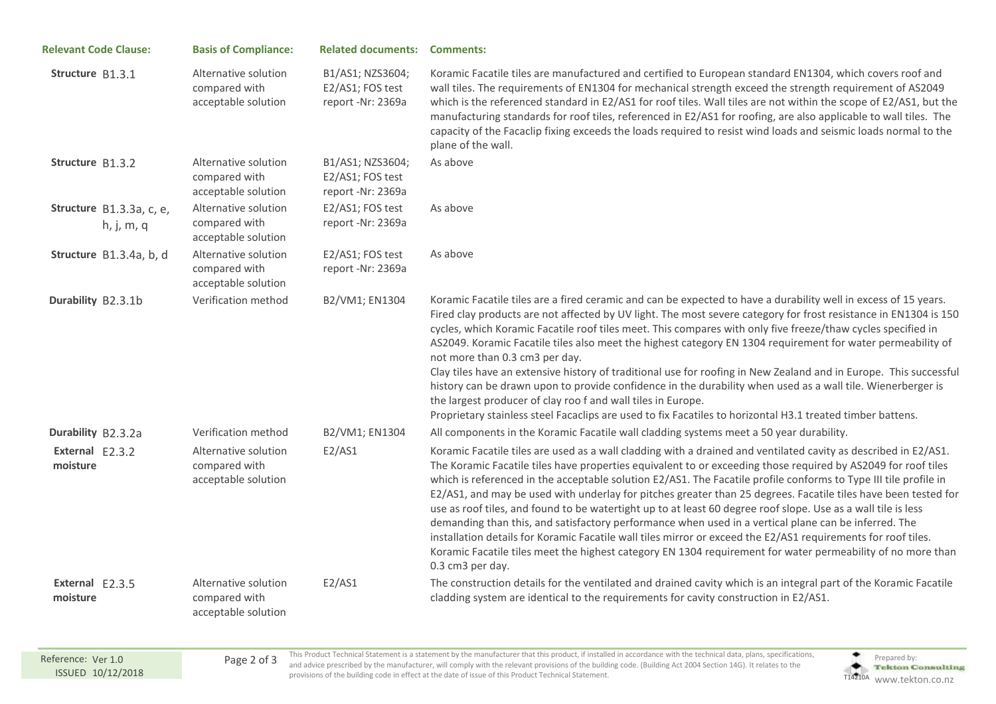| <b>Relevant Code Clause:</b>           | <b>Basis of Compliance:</b>                                  | <b>Related documents: Comments:</b>                       |                                                                                                                                                                                                                                                                                                                                                                                                                                                                                                                                                                                                                                                                                                                                                                                                                                                                                                                                                     |
|----------------------------------------|--------------------------------------------------------------|-----------------------------------------------------------|-----------------------------------------------------------------------------------------------------------------------------------------------------------------------------------------------------------------------------------------------------------------------------------------------------------------------------------------------------------------------------------------------------------------------------------------------------------------------------------------------------------------------------------------------------------------------------------------------------------------------------------------------------------------------------------------------------------------------------------------------------------------------------------------------------------------------------------------------------------------------------------------------------------------------------------------------------|
| Structure B1.3.1                       | Alternative solution<br>compared with<br>acceptable solution | B1/AS1; NZS3604;<br>E2/AS1; FOS test<br>report -Nr: 2369a | Koramic Facatile tiles are manufactured and certified to European standard EN1304, which covers roof and<br>wall tiles. The requirements of EN1304 for mechanical strength exceed the strength requirement of AS2049<br>which is the referenced standard in E2/AS1 for roof tiles. Wall tiles are not within the scope of E2/AS1, but the<br>manufacturing standards for roof tiles, referenced in E2/AS1 for roofing, are also applicable to wall tiles. The<br>capacity of the Facaclip fixing exceeds the loads required to resist wind loads and seismic loads normal to the<br>plane of the wall.                                                                                                                                                                                                                                                                                                                                              |
| Structure B1.3.2                       | Alternative solution<br>compared with<br>acceptable solution | B1/AS1; NZS3604;<br>E2/AS1; FOS test<br>report -Nr: 2369a | As above                                                                                                                                                                                                                                                                                                                                                                                                                                                                                                                                                                                                                                                                                                                                                                                                                                                                                                                                            |
| Structure B1.3.3a, c, e,<br>h, j, m, q | Alternative solution<br>compared with<br>acceptable solution | E2/AS1; FOS test<br>report -Nr: 2369a                     | As above                                                                                                                                                                                                                                                                                                                                                                                                                                                                                                                                                                                                                                                                                                                                                                                                                                                                                                                                            |
| Structure B1.3.4a, b, d                | Alternative solution<br>compared with<br>acceptable solution | E2/AS1; FOS test<br>report -Nr: 2369a                     | As above                                                                                                                                                                                                                                                                                                                                                                                                                                                                                                                                                                                                                                                                                                                                                                                                                                                                                                                                            |
| Durability B2.3.1b                     | Verification method                                          | B2/VM1; EN1304                                            | Koramic Facatile tiles are a fired ceramic and can be expected to have a durability well in excess of 15 years.<br>Fired clay products are not affected by UV light. The most severe category for frost resistance in EN1304 is 150<br>cycles, which Koramic Facatile roof tiles meet. This compares with only five freeze/thaw cycles specified in<br>AS2049. Koramic Facatile tiles also meet the highest category EN 1304 requirement for water permeability of<br>not more than 0.3 cm3 per day.<br>Clay tiles have an extensive history of traditional use for roofing in New Zealand and in Europe. This successful<br>history can be drawn upon to provide confidence in the durability when used as a wall tile. Wienerberger is<br>the largest producer of clay roo f and wall tiles in Europe.<br>Proprietary stainless steel Facaclips are used to fix Facatiles to horizontal H3.1 treated timber battens.                              |
| Durability B2.3.2a                     | Verification method                                          | B2/VM1; EN1304                                            | All components in the Koramic Facatile wall cladding systems meet a 50 year durability.                                                                                                                                                                                                                                                                                                                                                                                                                                                                                                                                                                                                                                                                                                                                                                                                                                                             |
| External E2.3.2<br>moisture            | Alternative solution<br>compared with<br>acceptable solution | E2/AS1                                                    | Koramic Facatile tiles are used as a wall cladding with a drained and ventilated cavity as described in E2/AS1.<br>The Koramic Facatile tiles have properties equivalent to or exceeding those required by AS2049 for roof tiles<br>which is referenced in the acceptable solution E2/AS1. The Facatile profile conforms to Type III tile profile in<br>E2/AS1, and may be used with underlay for pitches greater than 25 degrees. Facatile tiles have been tested for<br>use as roof tiles, and found to be watertight up to at least 60 degree roof slope. Use as a wall tile is less<br>demanding than this, and satisfactory performance when used in a vertical plane can be inferred. The<br>installation details for Koramic Facatile wall tiles mirror or exceed the E2/AS1 requirements for roof tiles.<br>Koramic Facatile tiles meet the highest category EN 1304 requirement for water permeability of no more than<br>0.3 cm3 per day. |
| External E2.3.5<br>moisture            | Alternative solution<br>compared with<br>acceptable solution | E2/AS1                                                    | The construction details for the ventilated and drained cavity which is an integral part of the Koramic Facatile<br>cladding system are identical to the requirements for cavity construction in E2/AS1.                                                                                                                                                                                                                                                                                                                                                                                                                                                                                                                                                                                                                                                                                                                                            |

This Product Technical Statement is a statement by the manufacturer that this product, if installed in accordance with the technical data, plans, specifications, Page 2 of 3 Protocol examined by the manufacturer, will comply with the relevant provisions of the building code. (Building Act 2004 Section 14G). It relates to the **Provisions** provisions of the building code in effect at the date of issue of this Product Technical Statement.